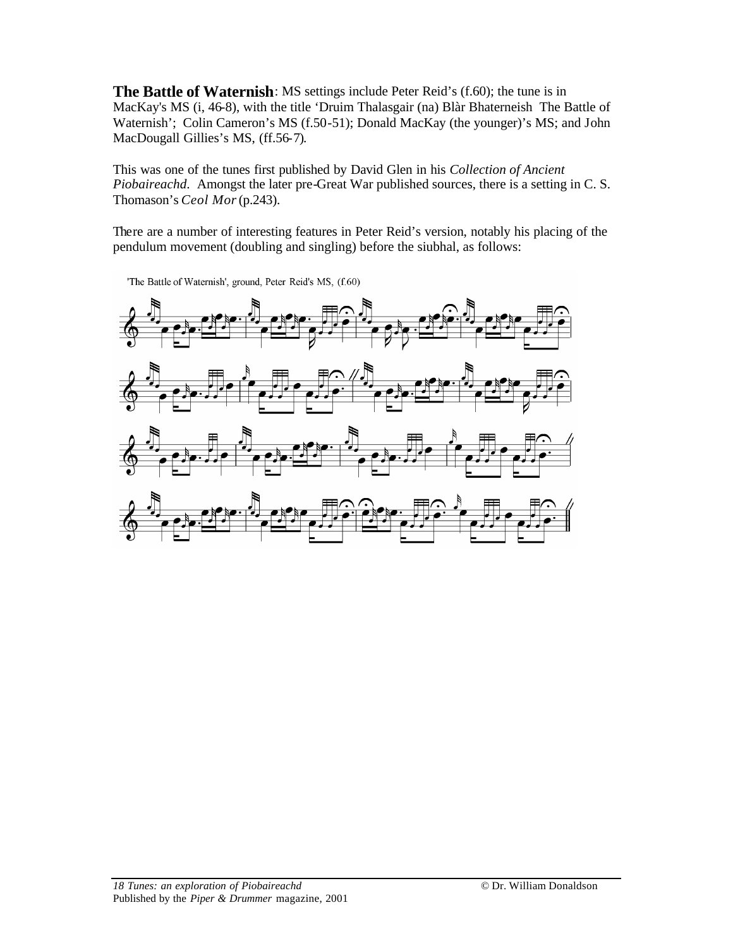**The Battle of Waternish**: MS settings include Peter Reid's (f.60); the tune is in MacKay's MS (i, 46-8), with the title 'Druim Thalasgair (na) Blàr Bhaterneish The Battle of Waternish'; Colin Cameron's MS (f.50-51); Donald MacKay (the younger)'s MS; and John MacDougall Gillies's MS, (ff.56-7).

This was one of the tunes first published by David Glen in his *Collection of Ancient Piobaireachd*. Amongst the later pre-Great War published sources, there is a setting in C. S. Thomason's *Ceol Mor* (p.243).

There are a number of interesting features in Peter Reid's version, notably his placing of the pendulum movement (doubling and singling) before the siubhal, as follows:



'The Battle of Waternish', ground, Peter Reid's MS, (f.60)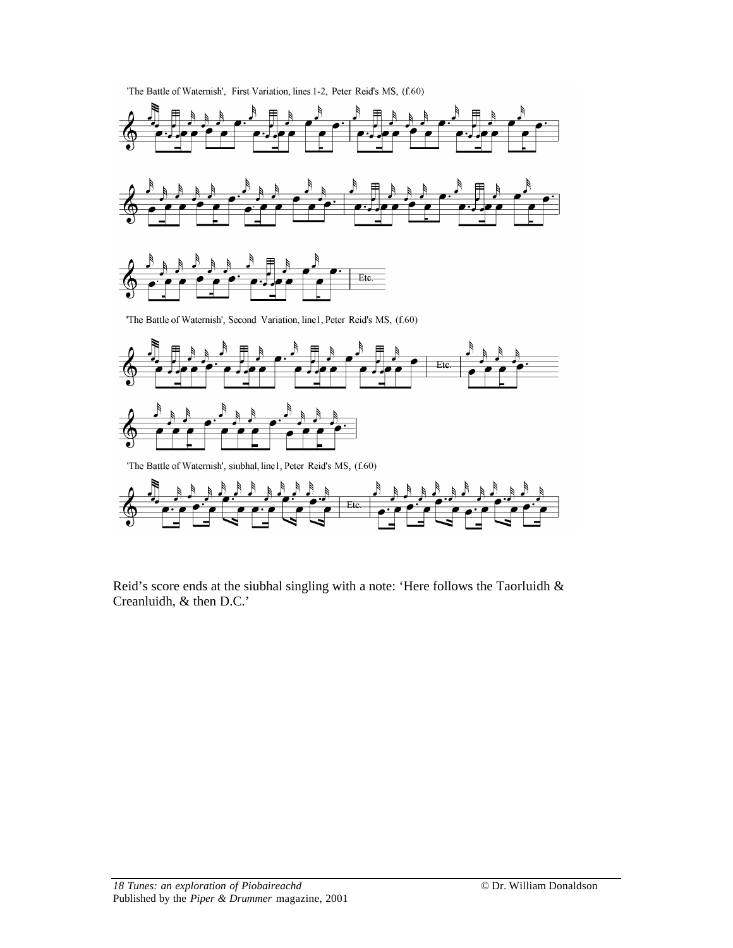

Reid's score ends at the siubhal singling with a note: 'Here follows the Taorluidh & Creanluidh, & then D.C.'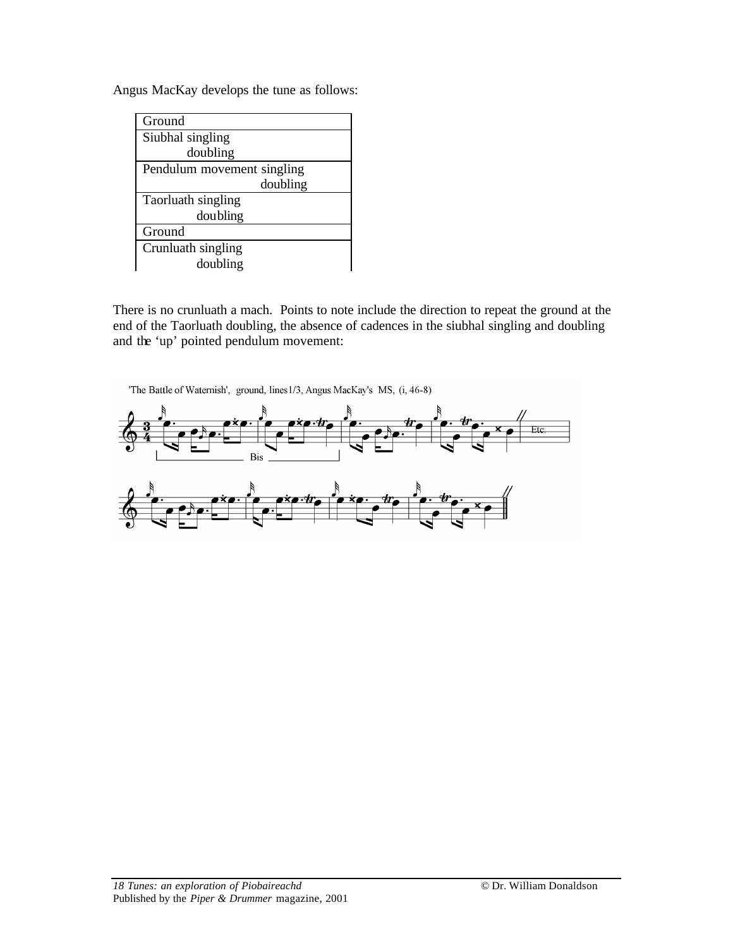Angus MacKay develops the tune as follows:

| Ground                     |
|----------------------------|
| Siubhal singling           |
| doubling                   |
| Pendulum movement singling |
| doubling                   |
| Taorluath singling         |
| doubling                   |
| Ground                     |
| Crunluath singling         |
| doubling                   |

There is no crunluath a mach. Points to note include the direction to repeat the ground at the end of the Taorluath doubling, the absence of cadences in the siubhal singling and doubling and the 'up' pointed pendulum movement:

'The Battle of Waternish', ground, lines 1/3, Angus MacKay's MS, (i, 46-8)

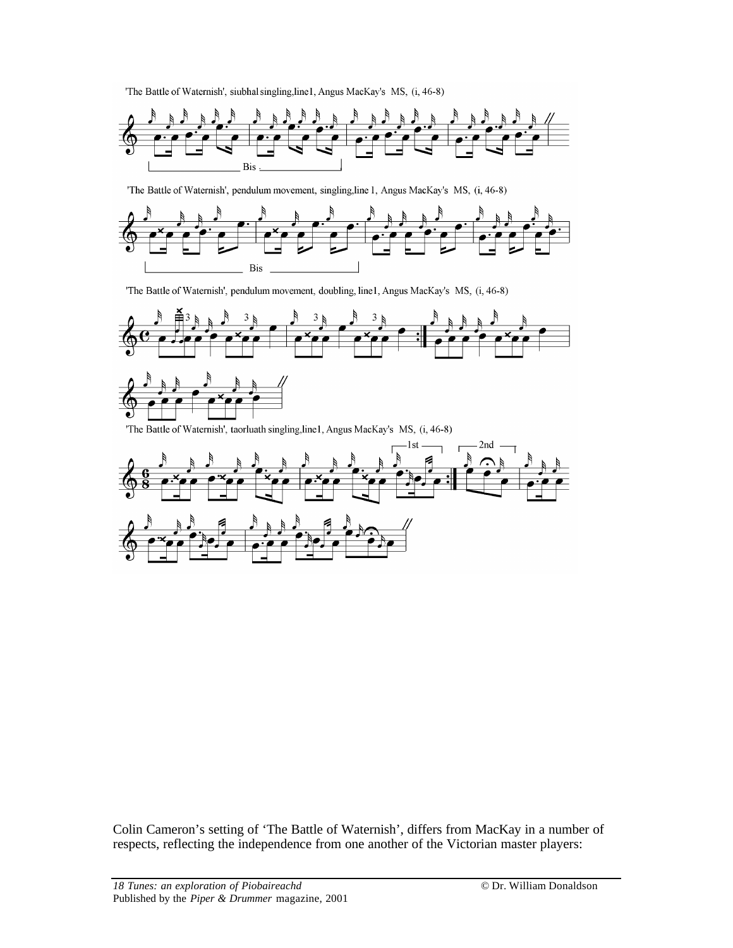'The Battle of Waternish', siubhal singling, line1, Angus MacKay's MS, (i, 46-8)



'The Battle of Waternish', pendulum movement, singling, line 1, Angus MacKay's MS, (i, 46-8)



'The Battle of Waternish', pendulum movement, doubling, line1, Angus MacKay's MS, (i, 46-8)



'The Battle of Waternish', taorluath singling, line1, Angus MacKay's MS, (i, 46-8)



Colin Cameron's setting of 'The Battle of Waternish', differs from MacKay in a number of respects, reflecting the independence from one another of the Victorian master players: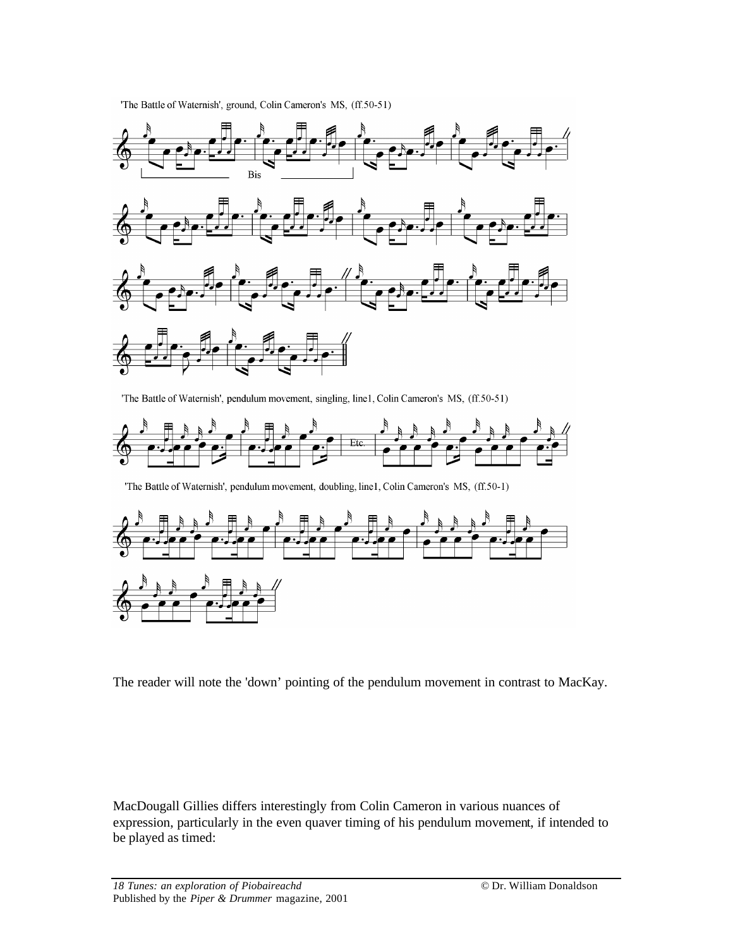'The Battle of Waternish', ground, Colin Cameron's MS, (ff.50-51)



'The Battle of Waternish', pendulum movement, singling, line1, Colin Cameron's MS, (ff.50-51)



'The Battle of Waternish', pendulum movement, doubling, line1, Colin Cameron's MS, (ff.50-1)



The reader will note the 'down' pointing of the pendulum movement in contrast to MacKay.

MacDougall Gillies differs interestingly from Colin Cameron in various nuances of expression, particularly in the even quaver timing of his pendulum movement, if intended to be played as timed: